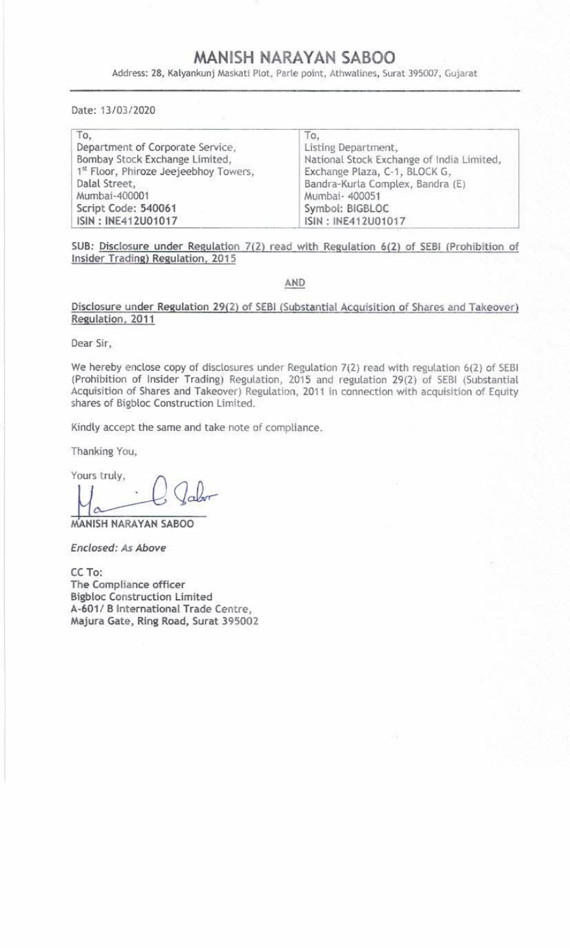## MANISH NARAYAN SABOO

MANISH NAR<br>Address: 28, Kalyankunj Maskati Plot, Parle Address: 28, Kalyankunj Maskati Plot, Parte point, Athwalines, Surat 395007, Gujarat MANISH NAR<br>Address: 28, Kalyankunj Maskati Plot, Parle<br>Date: 13/03/2020

|                                                                                                                                     | MANISH NARAYAN SABOO<br>Address: 28, Kalyankunj Maskati Plot, Parle point, Athwalines, Surat 395007, Gujarat                                 |
|-------------------------------------------------------------------------------------------------------------------------------------|----------------------------------------------------------------------------------------------------------------------------------------------|
| Date: 13/03/2020                                                                                                                    |                                                                                                                                              |
| To,<br>Department of Corporate Service,<br>Bombay Stock Exchange Limited,<br>1st Floor, Phiroze Jeejeebhoy Towers,<br>Dalal Street, | To,<br>Listing Department,<br>National Stock Exchange of India Limited,<br>Exchange Plaza, C-1, BLOCK G,<br>Bandra-Kurla Complex, Bandra (E) |

SUB: Disclosure under Regulation 7(2) read with Regulation 6(2) of SEBI (Prohibition of Insider Trading) Regulation, 2015

## AND

Disclosure under Regulation 29(2) of SEBI (Substantial Acquisition of Shares and Takeover) Regulation, 2011

Dear Sir,

We hereby enclose copy of disclosures under Regulation 7(2) read with regulation 6(2) of SEBI (Prohibition of Insider Trading) Regulation, 2015 and regulation 29(2) of SEBI (Substantial Acquisition of Shares and Takeover)

Kindly accept the same and take note of compliance.

Thanking You,

Yours truly,

MANISH NARAYAN SABOO

Enclosed: As Above

CC To:<br>The Compliance officer<br>Bigbloc Construction Limited<br>A-601/ B International Trade Centre,<br>Majura Gate, Ring Road, Surat 395002